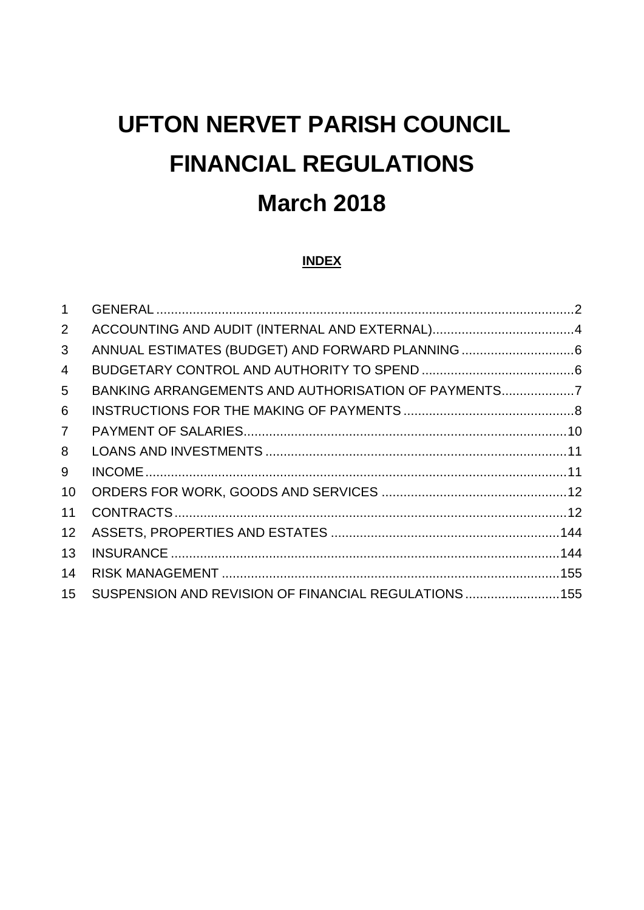# **UFTON NERVET PARISH COUNCIL FINANCIAL REGULATIONS March 2018**

# **INDEX**

| $\mathbf{1}$    |                                                      |  |
|-----------------|------------------------------------------------------|--|
| $\overline{2}$  |                                                      |  |
| 3               |                                                      |  |
| 4               |                                                      |  |
| 5               | BANKING ARRANGEMENTS AND AUTHORISATION OF PAYMENTS   |  |
| 6               |                                                      |  |
| 7 <sup>1</sup>  |                                                      |  |
| 8               |                                                      |  |
| 9               |                                                      |  |
| 10              |                                                      |  |
| 11              |                                                      |  |
| 12 <sup>2</sup> |                                                      |  |
| 13              |                                                      |  |
| 14              |                                                      |  |
| 15              | SUSPENSION AND REVISION OF FINANCIAL REGULATIONS 155 |  |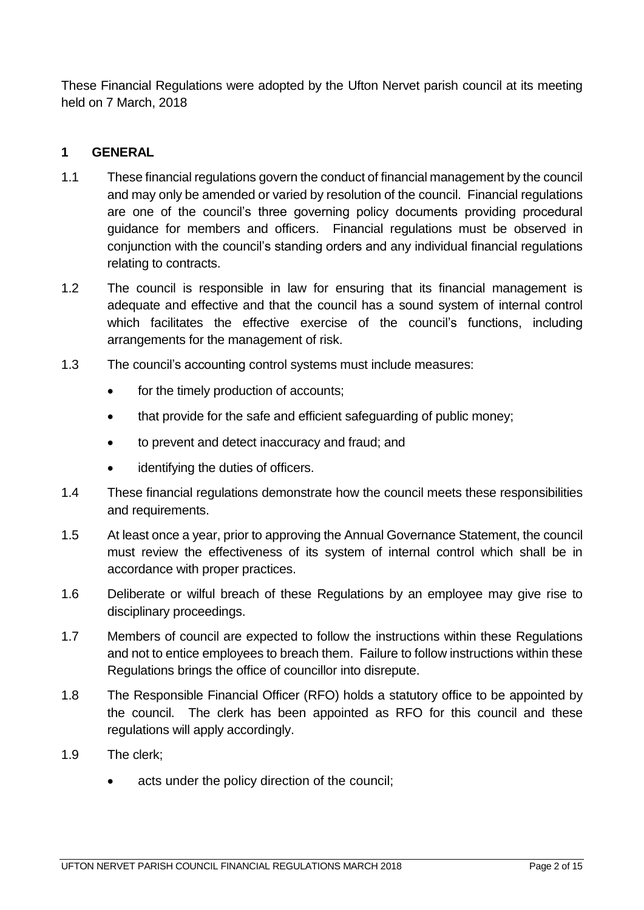These Financial Regulations were adopted by the Ufton Nervet parish council at its meeting held on 7 March, 2018

## <span id="page-1-0"></span>**1 GENERAL**

- 1.1 These financial regulations govern the conduct of financial management by the council and may only be amended or varied by resolution of the council. Financial regulations are one of the council's three governing policy documents providing procedural guidance for members and officers. Financial regulations must be observed in conjunction with the council's standing orders and any individual financial regulations relating to contracts.
- 1.2 The council is responsible in law for ensuring that its financial management is adequate and effective and that the council has a sound system of internal control which facilitates the effective exercise of the council's functions, including arrangements for the management of risk.
- 1.3 The council's accounting control systems must include measures:
	- for the timely production of accounts;
	- that provide for the safe and efficient safeguarding of public money;
	- to prevent and detect inaccuracy and fraud; and
	- identifying the duties of officers.
- 1.4 These financial regulations demonstrate how the council meets these responsibilities and requirements.
- 1.5 At least once a year, prior to approving the Annual Governance Statement, the council must review the effectiveness of its system of internal control which shall be in accordance with proper practices.
- 1.6 Deliberate or wilful breach of these Regulations by an employee may give rise to disciplinary proceedings.
- 1.7 Members of council are expected to follow the instructions within these Regulations and not to entice employees to breach them. Failure to follow instructions within these Regulations brings the office of councillor into disrepute.
- 1.8 The Responsible Financial Officer (RFO) holds a statutory office to be appointed by the council. The clerk has been appointed as RFO for this council and these regulations will apply accordingly.
- 1.9 The clerk;
	- acts under the policy direction of the council;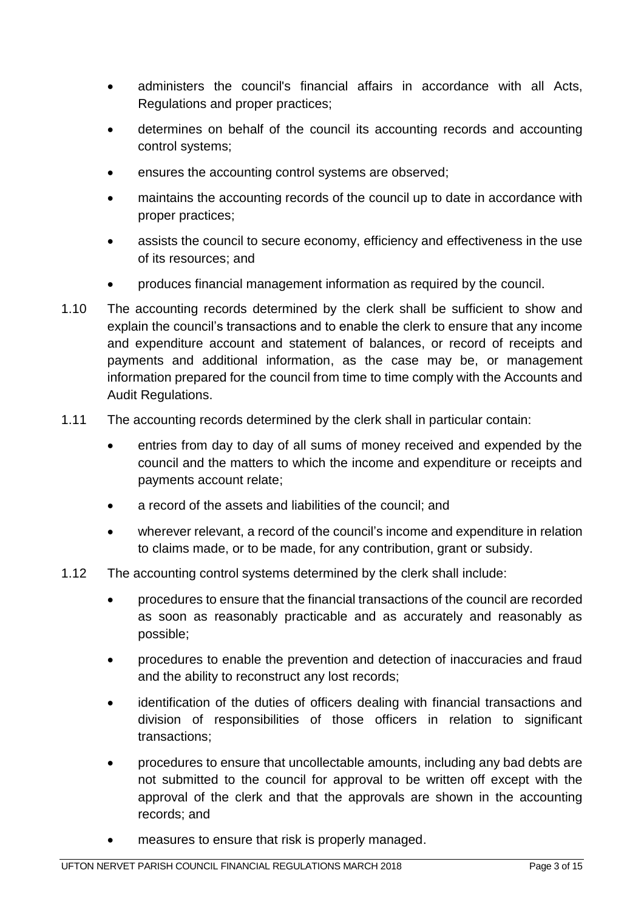- administers the council's financial affairs in accordance with all Acts, Regulations and proper practices;
- determines on behalf of the council its accounting records and accounting control systems;
- ensures the accounting control systems are observed;
- maintains the accounting records of the council up to date in accordance with proper practices;
- assists the council to secure economy, efficiency and effectiveness in the use of its resources; and
- produces financial management information as required by the council.
- 1.10 The accounting records determined by the clerk shall be sufficient to show and explain the council's transactions and to enable the clerk to ensure that any income and expenditure account and statement of balances, or record of receipts and payments and additional information, as the case may be, or management information prepared for the council from time to time comply with the Accounts and Audit Regulations.
- 1.11 The accounting records determined by the clerk shall in particular contain:
	- entries from day to day of all sums of money received and expended by the council and the matters to which the income and expenditure or receipts and payments account relate;
	- a record of the assets and liabilities of the council; and
	- wherever relevant, a record of the council's income and expenditure in relation to claims made, or to be made, for any contribution, grant or subsidy.
- 1.12 The accounting control systems determined by the clerk shall include:
	- procedures to ensure that the financial transactions of the council are recorded as soon as reasonably practicable and as accurately and reasonably as possible;
	- procedures to enable the prevention and detection of inaccuracies and fraud and the ability to reconstruct any lost records;
	- identification of the duties of officers dealing with financial transactions and division of responsibilities of those officers in relation to significant transactions;
	- procedures to ensure that uncollectable amounts, including any bad debts are not submitted to the council for approval to be written off except with the approval of the clerk and that the approvals are shown in the accounting records; and
	- measures to ensure that risk is properly managed.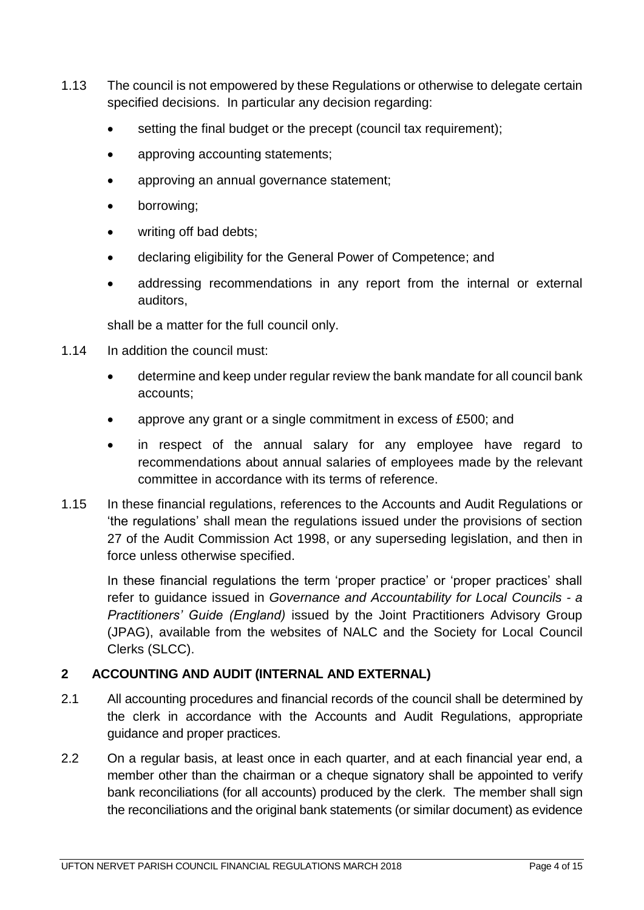- 1.13 The council is not empowered by these Regulations or otherwise to delegate certain specified decisions. In particular any decision regarding:
	- setting the final budget or the precept (council tax requirement);
	- approving accounting statements;
	- approving an annual governance statement;
	- borrowing;
	- writing off bad debts;
	- declaring eligibility for the General Power of Competence; and
	- addressing recommendations in any report from the internal or external auditors,

shall be a matter for the full council only.

- 1.14 In addition the council must:
	- determine and keep under regular review the bank mandate for all council bank accounts;
	- approve any grant or a single commitment in excess of £500; and
	- in respect of the annual salary for any employee have regard to recommendations about annual salaries of employees made by the relevant committee in accordance with its terms of reference.
- 1.15 In these financial regulations, references to the Accounts and Audit Regulations or 'the regulations' shall mean the regulations issued under the provisions of section 27 of the Audit Commission Act 1998, or any superseding legislation, and then in force unless otherwise specified.

In these financial regulations the term 'proper practice' or 'proper practices' shall refer to guidance issued in *Governance and Accountability for Local Councils - a Practitioners' Guide (England)* issued by the Joint Practitioners Advisory Group (JPAG), available from the websites of NALC and the Society for Local Council Clerks (SLCC).

# <span id="page-3-0"></span>**2 ACCOUNTING AND AUDIT (INTERNAL AND EXTERNAL)**

- 2.1 All accounting procedures and financial records of the council shall be determined by the clerk in accordance with the Accounts and Audit Regulations, appropriate guidance and proper practices.
- 2.2 On a regular basis, at least once in each quarter, and at each financial year end, a member other than the chairman or a cheque signatory shall be appointed to verify bank reconciliations (for all accounts) produced by the clerk. The member shall sign the reconciliations and the original bank statements (or similar document) as evidence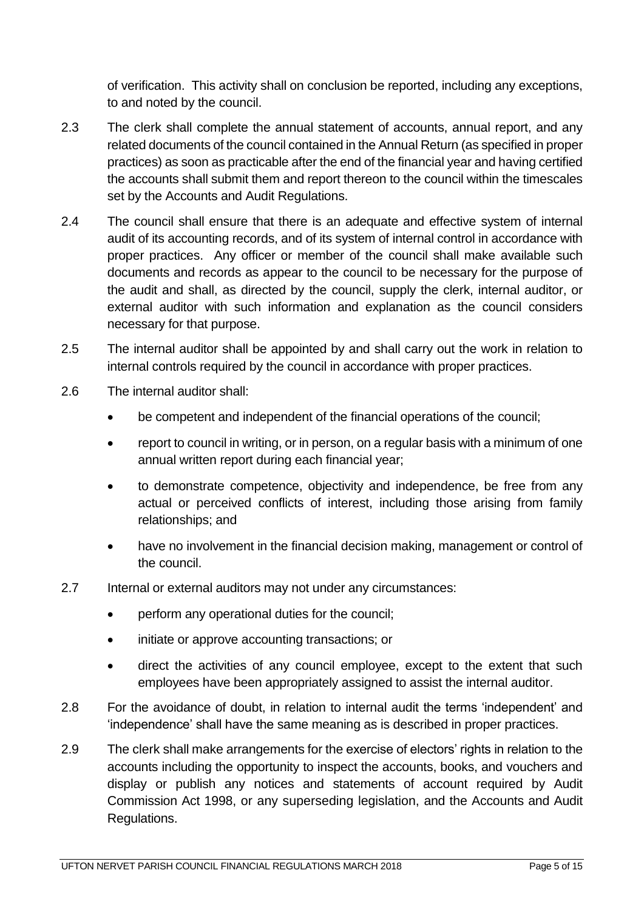of verification. This activity shall on conclusion be reported, including any exceptions, to and noted by the council.

- 2.3 The clerk shall complete the annual statement of accounts, annual report, and any related documents of the council contained in the Annual Return (as specified in proper practices) as soon as practicable after the end of the financial year and having certified the accounts shall submit them and report thereon to the council within the timescales set by the Accounts and Audit Regulations.
- 2.4 The council shall ensure that there is an adequate and effective system of internal audit of its accounting records, and of its system of internal control in accordance with proper practices. Any officer or member of the council shall make available such documents and records as appear to the council to be necessary for the purpose of the audit and shall, as directed by the council, supply the clerk, internal auditor, or external auditor with such information and explanation as the council considers necessary for that purpose.
- 2.5 The internal auditor shall be appointed by and shall carry out the work in relation to internal controls required by the council in accordance with proper practices.
- 2.6 The internal auditor shall:
	- be competent and independent of the financial operations of the council;
	- report to council in writing, or in person, on a regular basis with a minimum of one annual written report during each financial year;
	- to demonstrate competence, objectivity and independence, be free from any actual or perceived conflicts of interest, including those arising from family relationships; and
	- have no involvement in the financial decision making, management or control of the council.
- 2.7 Internal or external auditors may not under any circumstances:
	- perform any operational duties for the council;
	- initiate or approve accounting transactions; or
	- direct the activities of any council employee, except to the extent that such employees have been appropriately assigned to assist the internal auditor.
- 2.8 For the avoidance of doubt, in relation to internal audit the terms 'independent' and 'independence' shall have the same meaning as is described in proper practices.
- 2.9 The clerk shall make arrangements for the exercise of electors' rights in relation to the accounts including the opportunity to inspect the accounts, books, and vouchers and display or publish any notices and statements of account required by Audit Commission Act 1998, or any superseding legislation, and the Accounts and Audit Regulations.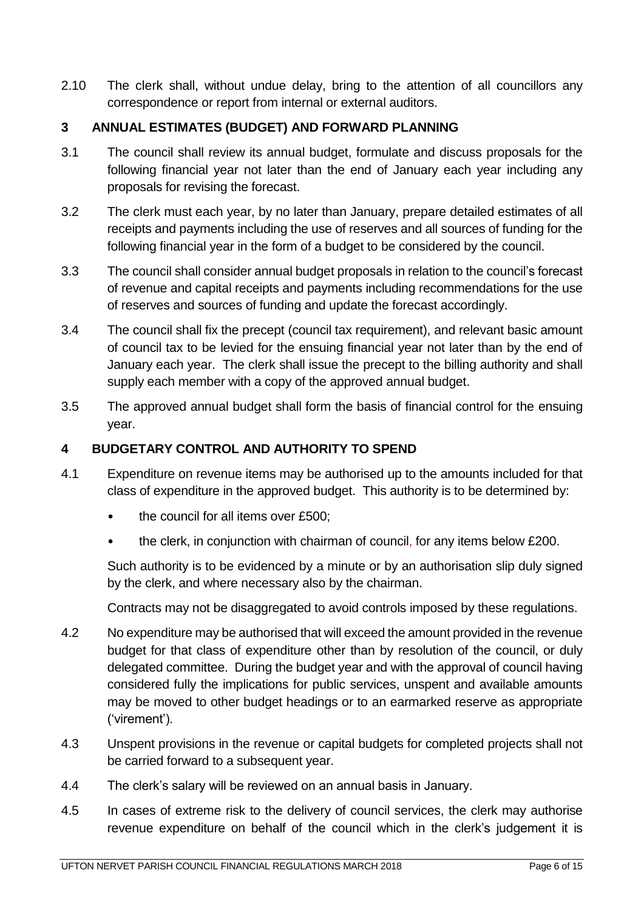2.10 The clerk shall, without undue delay, bring to the attention of all councillors any correspondence or report from internal or external auditors.

## <span id="page-5-0"></span>**3 ANNUAL ESTIMATES (BUDGET) AND FORWARD PLANNING**

- 3.1 The council shall review its annual budget, formulate and discuss proposals for the following financial year not later than the end of January each year including any proposals for revising the forecast.
- 3.2 The clerk must each year, by no later than January, prepare detailed estimates of all receipts and payments including the use of reserves and all sources of funding for the following financial year in the form of a budget to be considered by the council.
- 3.3 The council shall consider annual budget proposals in relation to the council's forecast of revenue and capital receipts and payments including recommendations for the use of reserves and sources of funding and update the forecast accordingly.
- 3.4 The council shall fix the precept (council tax requirement), and relevant basic amount of council tax to be levied for the ensuing financial year not later than by the end of January each year. The clerk shall issue the precept to the billing authority and shall supply each member with a copy of the approved annual budget.
- 3.5 The approved annual budget shall form the basis of financial control for the ensuing year.

## <span id="page-5-1"></span>**4 BUDGETARY CONTROL AND AUTHORITY TO SPEND**

- 4.1 Expenditure on revenue items may be authorised up to the amounts included for that class of expenditure in the approved budget. This authority is to be determined by:
	- the council for all items over £500;
	- the clerk, in conjunction with chairman of council, for any items below £200.

Such authority is to be evidenced by a minute or by an authorisation slip duly signed by the clerk, and where necessary also by the chairman.

Contracts may not be disaggregated to avoid controls imposed by these regulations.

- 4.2 No expenditure may be authorised that will exceed the amount provided in the revenue budget for that class of expenditure other than by resolution of the council, or duly delegated committee. During the budget year and with the approval of council having considered fully the implications for public services, unspent and available amounts may be moved to other budget headings or to an earmarked reserve as appropriate ('virement').
- 4.3 Unspent provisions in the revenue or capital budgets for completed projects shall not be carried forward to a subsequent year.
- 4.4 The clerk's salary will be reviewed on an annual basis in January.
- 4.5 In cases of extreme risk to the delivery of council services, the clerk may authorise revenue expenditure on behalf of the council which in the clerk's judgement it is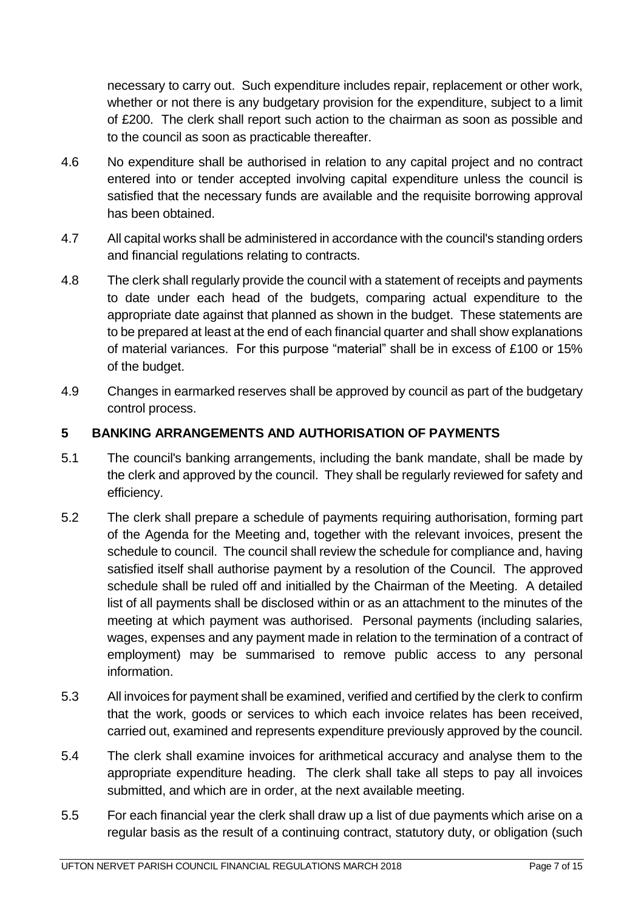necessary to carry out. Such expenditure includes repair, replacement or other work, whether or not there is any budgetary provision for the expenditure, subject to a limit of £200. The clerk shall report such action to the chairman as soon as possible and to the council as soon as practicable thereafter.

- 4.6 No expenditure shall be authorised in relation to any capital project and no contract entered into or tender accepted involving capital expenditure unless the council is satisfied that the necessary funds are available and the requisite borrowing approval has been obtained.
- 4.7 All capital works shall be administered in accordance with the council's standing orders and financial regulations relating to contracts.
- 4.8 The clerk shall regularly provide the council with a statement of receipts and payments to date under each head of the budgets, comparing actual expenditure to the appropriate date against that planned as shown in the budget. These statements are to be prepared at least at the end of each financial quarter and shall show explanations of material variances. For this purpose "material" shall be in excess of £100 or 15% of the budget.
- 4.9 Changes in earmarked reserves shall be approved by council as part of the budgetary control process.

# <span id="page-6-0"></span>**5 BANKING ARRANGEMENTS AND AUTHORISATION OF PAYMENTS**

- 5.1 The council's banking arrangements, including the bank mandate, shall be made by the clerk and approved by the council. They shall be regularly reviewed for safety and efficiency.
- 5.2 The clerk shall prepare a schedule of payments requiring authorisation, forming part of the Agenda for the Meeting and, together with the relevant invoices, present the schedule to council. The council shall review the schedule for compliance and, having satisfied itself shall authorise payment by a resolution of the Council. The approved schedule shall be ruled off and initialled by the Chairman of the Meeting. A detailed list of all payments shall be disclosed within or as an attachment to the minutes of the meeting at which payment was authorised. Personal payments (including salaries, wages, expenses and any payment made in relation to the termination of a contract of employment) may be summarised to remove public access to any personal information.
- 5.3 All invoices for payment shall be examined, verified and certified by the clerk to confirm that the work, goods or services to which each invoice relates has been received, carried out, examined and represents expenditure previously approved by the council.
- 5.4 The clerk shall examine invoices for arithmetical accuracy and analyse them to the appropriate expenditure heading. The clerk shall take all steps to pay all invoices submitted, and which are in order, at the next available meeting.
- 5.5 For each financial year the clerk shall draw up a list of due payments which arise on a regular basis as the result of a continuing contract, statutory duty, or obligation (such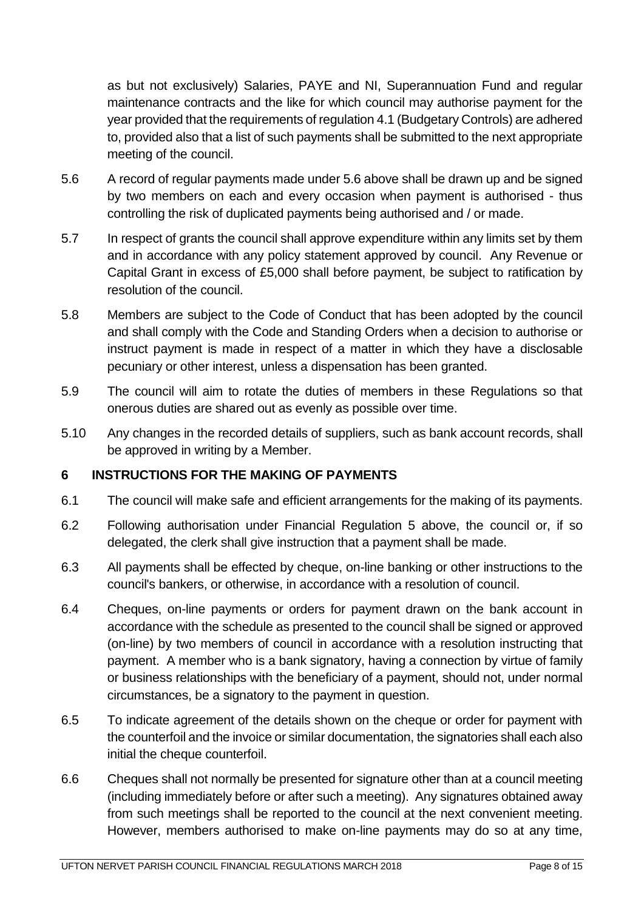as but not exclusively) Salaries, PAYE and NI, Superannuation Fund and regular maintenance contracts and the like for which council may authorise payment for the year provided that the requirements of regulation 4.1 (Budgetary Controls) are adhered to, provided also that a list of such payments shall be submitted to the next appropriate meeting of the council.

- 5.6 A record of regular payments made under 5.6 above shall be drawn up and be signed by two members on each and every occasion when payment is authorised - thus controlling the risk of duplicated payments being authorised and / or made.
- 5.7 In respect of grants the council shall approve expenditure within any limits set by them and in accordance with any policy statement approved by council. Any Revenue or Capital Grant in excess of £5,000 shall before payment, be subject to ratification by resolution of the council.
- 5.8 Members are subject to the Code of Conduct that has been adopted by the council and shall comply with the Code and Standing Orders when a decision to authorise or instruct payment is made in respect of a matter in which they have a disclosable pecuniary or other interest, unless a dispensation has been granted.
- 5.9 The council will aim to rotate the duties of members in these Regulations so that onerous duties are shared out as evenly as possible over time.
- 5.10 Any changes in the recorded details of suppliers, such as bank account records, shall be approved in writing by a Member.

#### <span id="page-7-0"></span>**6 INSTRUCTIONS FOR THE MAKING OF PAYMENTS**

- 6.1 The council will make safe and efficient arrangements for the making of its payments.
- 6.2 Following authorisation under Financial Regulation 5 above, the council or, if so delegated, the clerk shall give instruction that a payment shall be made.
- 6.3 All payments shall be effected by cheque, on-line banking or other instructions to the council's bankers, or otherwise, in accordance with a resolution of council.
- 6.4 Cheques, on-line payments or orders for payment drawn on the bank account in accordance with the schedule as presented to the council shall be signed or approved (on-line) by two members of council in accordance with a resolution instructing that payment. A member who is a bank signatory, having a connection by virtue of family or business relationships with the beneficiary of a payment, should not, under normal circumstances, be a signatory to the payment in question.
- 6.5 To indicate agreement of the details shown on the cheque or order for payment with the counterfoil and the invoice or similar documentation, the signatories shall each also initial the cheque counterfoil.
- 6.6 Cheques shall not normally be presented for signature other than at a council meeting (including immediately before or after such a meeting). Any signatures obtained away from such meetings shall be reported to the council at the next convenient meeting. However, members authorised to make on-line payments may do so at any time,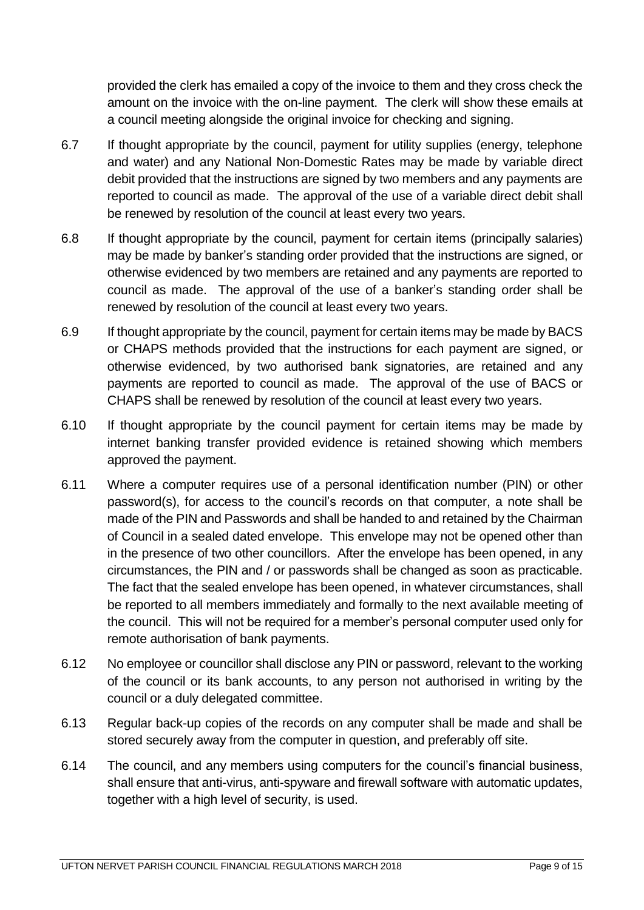provided the clerk has emailed a copy of the invoice to them and they cross check the amount on the invoice with the on-line payment. The clerk will show these emails at a council meeting alongside the original invoice for checking and signing.

- 6.7 If thought appropriate by the council, payment for utility supplies (energy, telephone and water) and any National Non-Domestic Rates may be made by variable direct debit provided that the instructions are signed by two members and any payments are reported to council as made. The approval of the use of a variable direct debit shall be renewed by resolution of the council at least every two years.
- 6.8 If thought appropriate by the council, payment for certain items (principally salaries) may be made by banker's standing order provided that the instructions are signed, or otherwise evidenced by two members are retained and any payments are reported to council as made. The approval of the use of a banker's standing order shall be renewed by resolution of the council at least every two years.
- 6.9 If thought appropriate by the council, payment for certain items may be made by BACS or CHAPS methods provided that the instructions for each payment are signed, or otherwise evidenced, by two authorised bank signatories, are retained and any payments are reported to council as made. The approval of the use of BACS or CHAPS shall be renewed by resolution of the council at least every two years.
- 6.10 If thought appropriate by the council payment for certain items may be made by internet banking transfer provided evidence is retained showing which members approved the payment.
- 6.11 Where a computer requires use of a personal identification number (PIN) or other password(s), for access to the council's records on that computer, a note shall be made of the PIN and Passwords and shall be handed to and retained by the Chairman of Council in a sealed dated envelope. This envelope may not be opened other than in the presence of two other councillors. After the envelope has been opened, in any circumstances, the PIN and / or passwords shall be changed as soon as practicable. The fact that the sealed envelope has been opened, in whatever circumstances, shall be reported to all members immediately and formally to the next available meeting of the council. This will not be required for a member's personal computer used only for remote authorisation of bank payments.
- 6.12 No employee or councillor shall disclose any PIN or password, relevant to the working of the council or its bank accounts, to any person not authorised in writing by the council or a duly delegated committee.
- 6.13 Regular back-up copies of the records on any computer shall be made and shall be stored securely away from the computer in question, and preferably off site.
- 6.14 The council, and any members using computers for the council's financial business, shall ensure that anti-virus, anti-spyware and firewall software with automatic updates, together with a high level of security, is used.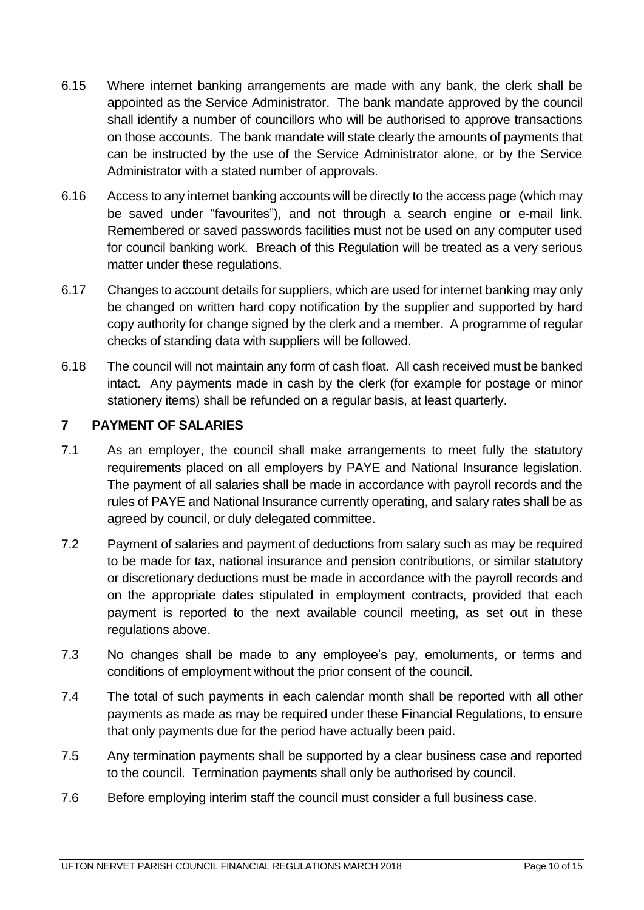- 6.15 Where internet banking arrangements are made with any bank, the clerk shall be appointed as the Service Administrator. The bank mandate approved by the council shall identify a number of councillors who will be authorised to approve transactions on those accounts. The bank mandate will state clearly the amounts of payments that can be instructed by the use of the Service Administrator alone, or by the Service Administrator with a stated number of approvals.
- 6.16 Access to any internet banking accounts will be directly to the access page (which may be saved under "favourites"), and not through a search engine or e-mail link. Remembered or saved passwords facilities must not be used on any computer used for council banking work. Breach of this Regulation will be treated as a very serious matter under these regulations.
- 6.17 Changes to account details for suppliers, which are used for internet banking may only be changed on written hard copy notification by the supplier and supported by hard copy authority for change signed by the clerk and a member. A programme of regular checks of standing data with suppliers will be followed.
- 6.18 The council will not maintain any form of cash float. All cash received must be banked intact. Any payments made in cash by the clerk (for example for postage or minor stationery items) shall be refunded on a regular basis, at least quarterly.

## <span id="page-9-0"></span>**7 PAYMENT OF SALARIES**

- 7.1 As an employer, the council shall make arrangements to meet fully the statutory requirements placed on all employers by PAYE and National Insurance legislation. The payment of all salaries shall be made in accordance with payroll records and the rules of PAYE and National Insurance currently operating, and salary rates shall be as agreed by council, or duly delegated committee.
- 7.2 Payment of salaries and payment of deductions from salary such as may be required to be made for tax, national insurance and pension contributions, or similar statutory or discretionary deductions must be made in accordance with the payroll records and on the appropriate dates stipulated in employment contracts, provided that each payment is reported to the next available council meeting, as set out in these regulations above.
- 7.3 No changes shall be made to any employee's pay, emoluments, or terms and conditions of employment without the prior consent of the council.
- 7.4 The total of such payments in each calendar month shall be reported with all other payments as made as may be required under these Financial Regulations, to ensure that only payments due for the period have actually been paid.
- 7.5 Any termination payments shall be supported by a clear business case and reported to the council. Termination payments shall only be authorised by council.
- 7.6 Before employing interim staff the council must consider a full business case.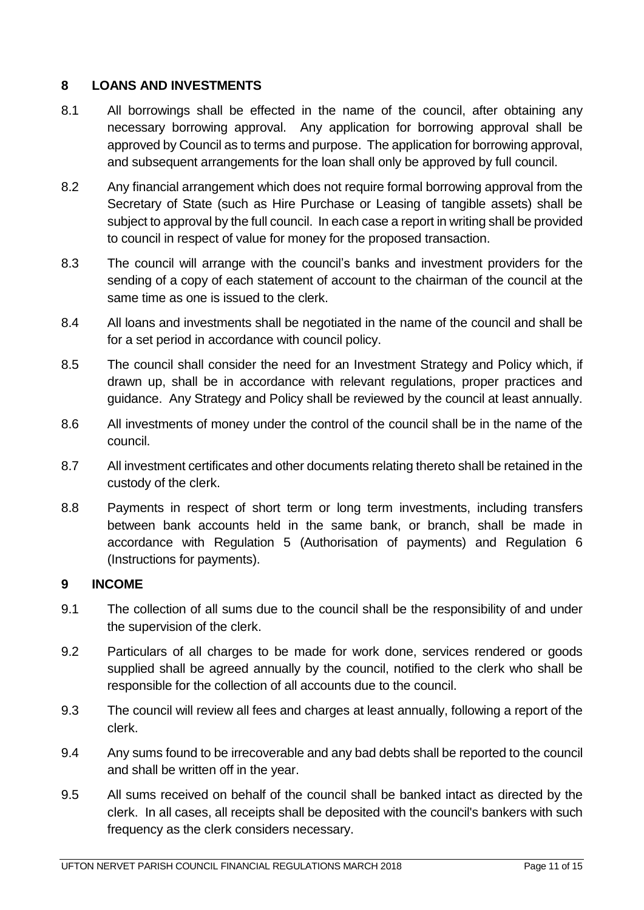## <span id="page-10-0"></span>**8 LOANS AND INVESTMENTS**

- 8.1 All borrowings shall be effected in the name of the council, after obtaining any necessary borrowing approval. Any application for borrowing approval shall be approved by Council as to terms and purpose. The application for borrowing approval, and subsequent arrangements for the loan shall only be approved by full council.
- 8.2 Any financial arrangement which does not require formal borrowing approval from the Secretary of State (such as Hire Purchase or Leasing of tangible assets) shall be subject to approval by the full council. In each case a report in writing shall be provided to council in respect of value for money for the proposed transaction.
- 8.3 The council will arrange with the council's banks and investment providers for the sending of a copy of each statement of account to the chairman of the council at the same time as one is issued to the clerk.
- 8.4 All loans and investments shall be negotiated in the name of the council and shall be for a set period in accordance with council policy.
- 8.5 The council shall consider the need for an Investment Strategy and Policy which, if drawn up, shall be in accordance with relevant regulations, proper practices and guidance. Any Strategy and Policy shall be reviewed by the council at least annually.
- 8.6 All investments of money under the control of the council shall be in the name of the council.
- 8.7 All investment certificates and other documents relating thereto shall be retained in the custody of the clerk.
- 8.8 Payments in respect of short term or long term investments, including transfers between bank accounts held in the same bank, or branch, shall be made in accordance with Regulation 5 (Authorisation of payments) and Regulation 6 (Instructions for payments).

#### <span id="page-10-1"></span>**9 INCOME**

- 9.1 The collection of all sums due to the council shall be the responsibility of and under the supervision of the clerk.
- 9.2 Particulars of all charges to be made for work done, services rendered or goods supplied shall be agreed annually by the council, notified to the clerk who shall be responsible for the collection of all accounts due to the council.
- 9.3 The council will review all fees and charges at least annually, following a report of the clerk.
- 9.4 Any sums found to be irrecoverable and any bad debts shall be reported to the council and shall be written off in the year.
- 9.5 All sums received on behalf of the council shall be banked intact as directed by the clerk. In all cases, all receipts shall be deposited with the council's bankers with such frequency as the clerk considers necessary.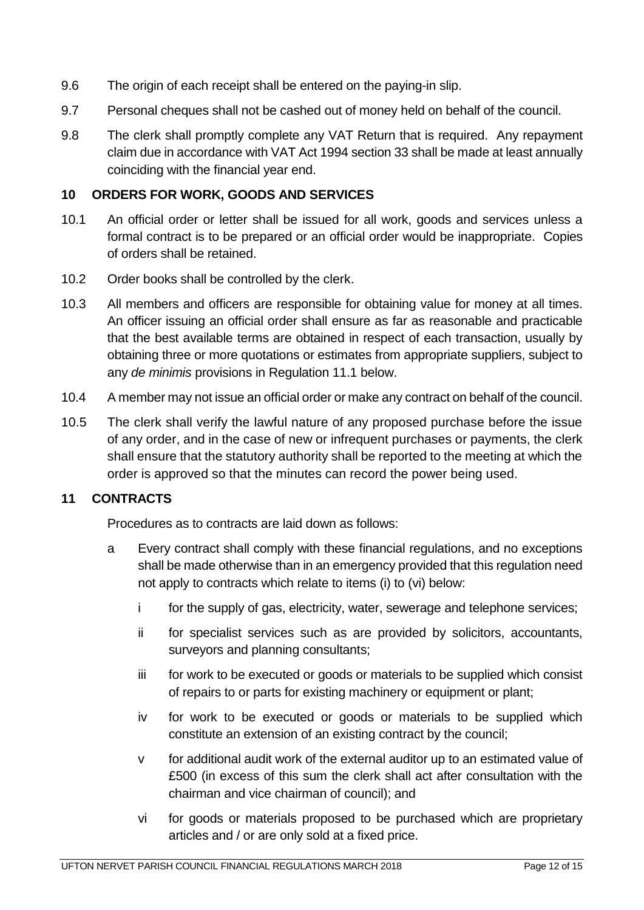- 9.6 The origin of each receipt shall be entered on the paying-in slip.
- 9.7 Personal cheques shall not be cashed out of money held on behalf of the council.
- 9.8 The clerk shall promptly complete any VAT Return that is required. Any repayment claim due in accordance with VAT Act 1994 section 33 shall be made at least annually coinciding with the financial year end.

#### <span id="page-11-0"></span>**10 ORDERS FOR WORK, GOODS AND SERVICES**

- 10.1 An official order or letter shall be issued for all work, goods and services unless a formal contract is to be prepared or an official order would be inappropriate. Copies of orders shall be retained.
- 10.2 Order books shall be controlled by the clerk.
- 10.3 All members and officers are responsible for obtaining value for money at all times. An officer issuing an official order shall ensure as far as reasonable and practicable that the best available terms are obtained in respect of each transaction, usually by obtaining three or more quotations or estimates from appropriate suppliers, subject to any *de minimis* provisions in Regulation 11.1 below.
- 10.4 A member may not issue an official order or make any contract on behalf of the council.
- 10.5 The clerk shall verify the lawful nature of any proposed purchase before the issue of any order, and in the case of new or infrequent purchases or payments, the clerk shall ensure that the statutory authority shall be reported to the meeting at which the order is approved so that the minutes can record the power being used.

#### <span id="page-11-1"></span>**11 CONTRACTS**

Procedures as to contracts are laid down as follows:

- a Every contract shall comply with these financial regulations, and no exceptions shall be made otherwise than in an emergency provided that this regulation need not apply to contracts which relate to items (i) to (vi) below:
	- i for the supply of gas, electricity, water, sewerage and telephone services;
	- ii for specialist services such as are provided by solicitors, accountants, surveyors and planning consultants;
	- iii for work to be executed or goods or materials to be supplied which consist of repairs to or parts for existing machinery or equipment or plant;
	- iv for work to be executed or goods or materials to be supplied which constitute an extension of an existing contract by the council;
	- v for additional audit work of the external auditor up to an estimated value of £500 (in excess of this sum the clerk shall act after consultation with the chairman and vice chairman of council); and
	- vi for goods or materials proposed to be purchased which are proprietary articles and / or are only sold at a fixed price.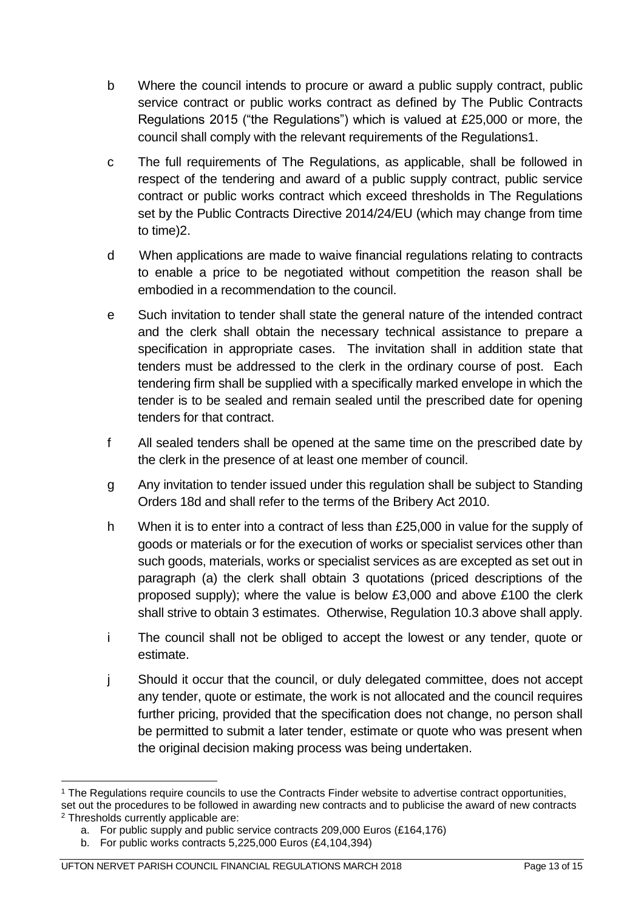- b Where the council intends to procure or award a public supply contract, public service contract or public works contract as defined by The Public Contracts Regulations 2015 ("the Regulations") which is valued at £25,000 or more, the council shall comply with the relevant requirements of the Regulations1.
- c The full requirements of The Regulations, as applicable, shall be followed in respect of the tendering and award of a public supply contract, public service contract or public works contract which exceed thresholds in The Regulations set by the Public Contracts Directive 2014/24/EU (which may change from time to time)2.
- d When applications are made to waive financial regulations relating to contracts to enable a price to be negotiated without competition the reason shall be embodied in a recommendation to the council.
- e Such invitation to tender shall state the general nature of the intended contract and the clerk shall obtain the necessary technical assistance to prepare a specification in appropriate cases. The invitation shall in addition state that tenders must be addressed to the clerk in the ordinary course of post. Each tendering firm shall be supplied with a specifically marked envelope in which the tender is to be sealed and remain sealed until the prescribed date for opening tenders for that contract.
- f All sealed tenders shall be opened at the same time on the prescribed date by the clerk in the presence of at least one member of council.
- g Any invitation to tender issued under this regulation shall be subject to Standing Orders 18d and shall refer to the terms of the Bribery Act 2010.
- h When it is to enter into a contract of less than £25,000 in value for the supply of goods or materials or for the execution of works or specialist services other than such goods, materials, works or specialist services as are excepted as set out in paragraph (a) the clerk shall obtain 3 quotations (priced descriptions of the proposed supply); where the value is below £3,000 and above £100 the clerk shall strive to obtain 3 estimates. Otherwise, Regulation 10.3 above shall apply.
- i The council shall not be obliged to accept the lowest or any tender, quote or estimate.
- j Should it occur that the council, or duly delegated committee, does not accept any tender, quote or estimate, the work is not allocated and the council requires further pricing, provided that the specification does not change, no person shall be permitted to submit a later tender, estimate or quote who was present when the original decision making process was being undertaken.

<sup>1</sup> <sup>1</sup> The Regulations require councils to use the Contracts Finder website to advertise contract opportunities, set out the procedures to be followed in awarding new contracts and to publicise the award of new contracts <sup>2</sup> Thresholds currently applicable are:

a. For public supply and public service contracts 209,000 Euros (£164,176)

b. For public works contracts 5,225,000 Euros (£4,104,394)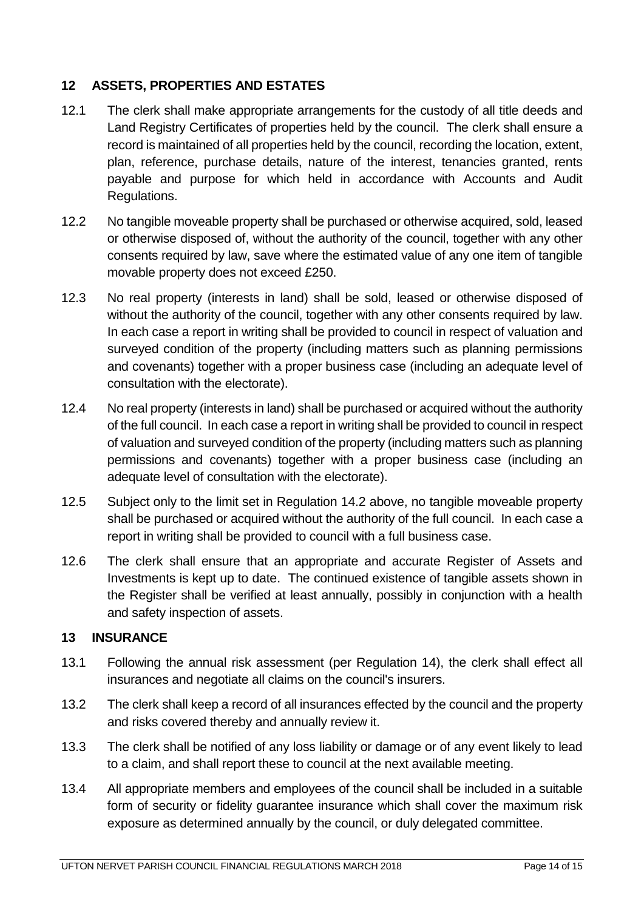## <span id="page-13-0"></span>**12 ASSETS, PROPERTIES AND ESTATES**

- 12.1 The clerk shall make appropriate arrangements for the custody of all title deeds and Land Registry Certificates of properties held by the council. The clerk shall ensure a record is maintained of all properties held by the council, recording the location, extent, plan, reference, purchase details, nature of the interest, tenancies granted, rents payable and purpose for which held in accordance with Accounts and Audit Regulations.
- 12.2 No tangible moveable property shall be purchased or otherwise acquired, sold, leased or otherwise disposed of, without the authority of the council, together with any other consents required by law, save where the estimated value of any one item of tangible movable property does not exceed £250.
- 12.3 No real property (interests in land) shall be sold, leased or otherwise disposed of without the authority of the council, together with any other consents required by law. In each case a report in writing shall be provided to council in respect of valuation and surveyed condition of the property (including matters such as planning permissions and covenants) together with a proper business case (including an adequate level of consultation with the electorate).
- 12.4 No real property (interests in land) shall be purchased or acquired without the authority of the full council. In each case a report in writing shall be provided to council in respect of valuation and surveyed condition of the property (including matters such as planning permissions and covenants) together with a proper business case (including an adequate level of consultation with the electorate).
- 12.5 Subject only to the limit set in Regulation 14.2 above, no tangible moveable property shall be purchased or acquired without the authority of the full council. In each case a report in writing shall be provided to council with a full business case.
- 12.6 The clerk shall ensure that an appropriate and accurate Register of Assets and Investments is kept up to date. The continued existence of tangible assets shown in the Register shall be verified at least annually, possibly in conjunction with a health and safety inspection of assets.

#### <span id="page-13-1"></span>**13 INSURANCE**

- 13.1 Following the annual risk assessment (per Regulation 14), the clerk shall effect all insurances and negotiate all claims on the council's insurers.
- 13.2 The clerk shall keep a record of all insurances effected by the council and the property and risks covered thereby and annually review it.
- 13.3 The clerk shall be notified of any loss liability or damage or of any event likely to lead to a claim, and shall report these to council at the next available meeting.
- 13.4 All appropriate members and employees of the council shall be included in a suitable form of security or fidelity guarantee insurance which shall cover the maximum risk exposure as determined annually by the council, or duly delegated committee.